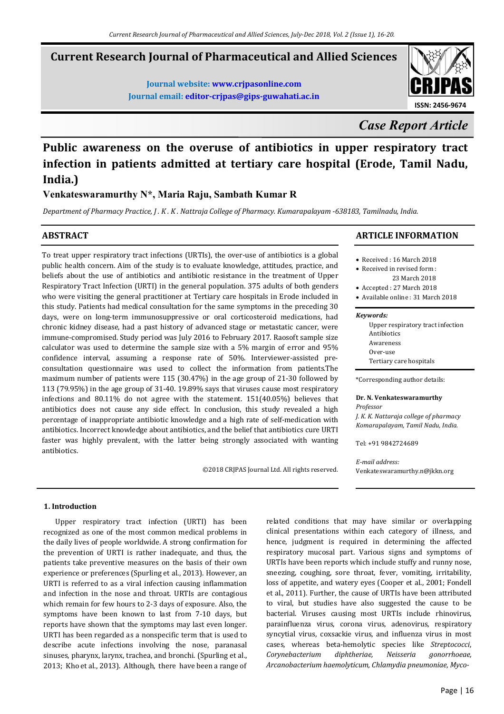# **Current Research Journal of Pharmaceutical and Allied Sciences**

**Journal website: www.crjpasonline.com Journal email: editor-crjpas@gips-guwahati.ac.in** 



*Case Report Article*

# **Public awareness on the overuse of antibiotics in upper respiratory tract infection in patients admitted at tertiary care hospital (Erode, Tamil Nadu, India.)**

**Venkateswaramurthy N\*, Maria Raju, Sambath Kumar R** 

*Department of Pharmacy Practice, J . K . K . Nattraja College of Pharmacy. Kumarapalayam -638183, Tamilnadu, India.* 

### **ABSTRACT**

To treat upper respiratory tract infections (URTIs), the over-use of antibiotics is a global public health concern. Aim of the study is to evaluate knowledge, attitudes, practice, and beliefs about the use of antibiotics and antibiotic resistance in the treatment of Upper Respiratory Tract Infection (URTI) in the general population. 375 adults of both genders who were visiting the general practitioner at Tertiary care hospitals in Erode included in this study. Patients had medical consultation for the same symptoms in the preceding 30 days, were on long-term immunosuppressive or oral corticosteroid medications, had chronic kidney disease, had a past history of advanced stage or metastatic cancer, were immune-compromised. Study period was July 2016 to February 2017. Raosoft sample size calculator was used to determine the sample size with a 5% margin of error and 95% confidence interval, assuming a response rate of 50%. Interviewer-assisted preconsultation questionnaire was used to collect the information from patients.The maximum number of patients were 115 (30.47%) in the age group of 21-30 followed by 113 (79.95%) in the age group of 31-40. 19.89% says that viruses cause most respiratory infections and 80.11% do not agree with the statement. 151(40.05%) believes that antibiotics does not cause any side effect. In conclusion, this study revealed a high percentage of inappropriate antibiotic knowledge and a high rate of self-medication with antibiotics. Incorrect knowledge about antibiotics, and the belief that antibiotics cure URTI faster was highly prevalent, with the latter being strongly associated with wanting antibiotics.

©2018 CRJPAS Journal Ltd. All rights reserved.

## **ARTICLE INFORMATION**

- Received : 16 March 2018
- Received in revised form : 23 March 2018
- Accepted : 27 March 2018
- Available online : 31 March 2018

#### *Keywords:*

| Upper respiratory tract infection |
|-----------------------------------|
| Antibiotics                       |
| Awareness                         |
| Over-use                          |
| Tertiary care hospitals           |
|                                   |

\*Corresponding author details:

#### **Dr. N. Venkateswaramurthy**

*Professor J. K. K. Nattaraja college of pharmacy Komarapalayam, Tamil Nadu, India.* 

Tel: +91 9842724689

*E-mail address:* Venkateswaramurthy.n@jkkn.org

#### **1. Introduction**

 Upper respiratory tract infection (URTI) has been recognized as one of the most common medical problems in the daily lives of people worldwide. A strong confirmation for the prevention of URTI is rather inadequate, and thus, the patients take preventive measures on the basis of their own experience or preferences (Spurling et al., 2013). However, an URTI is referred to as a viral infection causing inflammation and infection in the nose and throat. URTIs are contagious which remain for few hours to 2-3 days of exposure. Also, the symptoms have been known to last from 7-10 days, but reports have shown that the symptoms may last even longer. URTI has been regarded as a nonspecific term that is used to describe acute infections involving the nose, paranasal sinuses, pharynx, larynx, trachea, and bronchi. (Spurling et al., 2013; Kho et al., 2013). Although, there have been a range of related conditions that may have similar or overlapping clinical presentations within each category of illness, and hence, judgment is required in determining the affected respiratory mucosal part. Various signs and symptoms of URTIs have been reports which include stuffy and runny nose, sneezing, coughing, sore throat, fever, vomiting, irritability, loss of appetite, and watery eyes (Cooper et al., 2001; Fondell et al., 2011). Further, the cause of URTIs have been attributed to viral, but studies have also suggested the cause to be bacterial. Viruses causing most URTIs include rhinovirus, parainfluenza virus, corona virus, adenovirus, respiratory syncytial virus, coxsackie virus, and influenza virus in most cases, whereas beta-hemolytic species like *Streptococci*, *Corynebacterium diphtheriae, Neisseria gonorrhoeae, Arcanobacterium haemolyticum, Chlamydia pneumoniae, Myco-*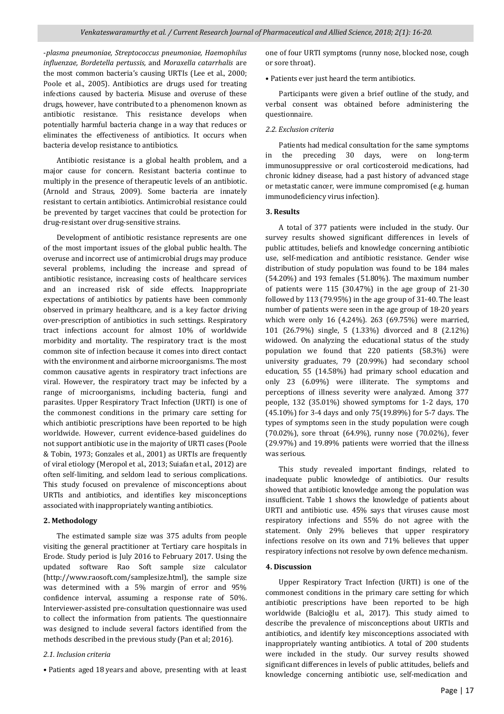-*plasma pneumoniae, Streptococcus pneumoniae, Haemophilus influenzae, Bordetella pertussis,* and *Moraxella catarrhalis* are the most common bacteria's causing URTIs (Lee et al., 2000; Poole et al., 2005). Antibiotics are drugs used for treating infections caused by bacteria. Misuse and overuse of these drugs, however, have contributed to a phenomenon known as antibiotic resistance. This resistance develops when potentially harmful bacteria change in a way that reduces or eliminates the effectiveness of antibiotics. It occurs when bacteria develop resistance to antibiotics.

 Antibiotic resistance is a global health problem, and a major cause for concern. Resistant bacteria continue to multiply in the presence of therapeutic levels of an antibiotic. (Arnold and Straus, 2009). Some bacteria are innately resistant to certain antibiotics. Antimicrobial resistance could be prevented by target vaccines that could be protection for drug-resistant over drug-sensitive strains.

 Development of antibiotic resistance represents are one of the most important issues of the global public health. The overuse and incorrect use of antimicrobial drugs may produce several problems, including the increase and spread of antibiotic resistance, increasing costs of healthcare services and an increased risk of side effects. Inappropriate expectations of antibiotics by patients have been commonly observed in primary healthcare, and is a key factor driving over-prescription of antibiotics in such settings. Respiratory tract infections account for almost 10% of worldwide morbidity and mortality. The respiratory tract is the most common site of infection because it comes into direct contact with the environment and airborne microorganisms. The most common causative agents in respiratory tract infections are viral. However, the respiratory tract may be infected by a range of microorganisms, including bacteria, fungi and parasites. Upper Respiratory Tract Infection (URTI) is one of the commonest conditions in the primary care setting for which antibiotic prescriptions have been reported to be high worldwide. However, current evidence-based guidelines do not support antibiotic use in the majority of URTI cases (Poole & Tobin, 1973; Gonzales et al., 2001) as URTIs are frequently of viral etiology (Meropol et al., 2013; Suiafan et al., 2012) are often self-limiting, and seldom lead to serious complications. This study focused on prevalence of misconceptions about URTIs and antibiotics, and identifies key misconceptions associated with inappropriately wanting antibiotics.

#### **2. Methodology**

 The estimated sample size was 375 adults from people visiting the general practitioner at Tertiary care hospitals in Erode. Study period is July 2016 to February 2017. Using the updated software Rao Soft sample size calculator (http://www.raosoft.com/samplesize.html), the sample size was determined with a 5% margin of error and 95% confidence interval, assuming a response rate of 50%. Interviewer-assisted pre-consultation questionnaire was used to collect the information from patients. The questionnaire was designed to include several factors identified from the methods described in the previous study (Pan et al; 2016).

#### *2.1. Inclusion criteria*

• Patients aged 18 years and above, presenting with at least

one of four URTI symptoms (runny nose, blocked nose, cough or sore throat).

• Patients ever just heard the term antibiotics.

 Participants were given a brief outline of the study, and verbal consent was obtained before administering the questionnaire.

#### *2.2. Exclusion criteria*

 Patients had medical consultation for the same symptoms in the preceding 30 days, were on long-term immunosuppressive or oral corticosteroid medications, had chronic kidney disease, had a past history of advanced stage or metastatic cancer, were immune compromised (e.g. human immunodeficiency virus infection).

#### **3. Results**

 A total of 377 patients were included in the study. Our survey results showed significant differences in levels of public attitudes, beliefs and knowledge concerning antibiotic use, self-medication and antibiotic resistance. Gender wise distribution of study population was found to be 184 males (54.20%) and 193 females (51.80%). The maximum number of patients were 115 (30.47%) in the age group of 21-30 followed by 113 (79.95%) in the age group of 31-40. The least number of patients were seen in the age group of 18-20 years which were only 16 (4.24%). 263 (69.75%) were married, 101 (26.79%) single, 5 (1.33%) divorced and 8 (2.12%) widowed. On analyzing the educational status of the study population we found that 220 patients (58.3%) were university graduates, 79 (20.99%) had secondary school education, 55 (14.58%) had primary school education and only 23 (6.09%) were illiterate. The symptoms and perceptions of illness severity were analyzed. Among 377 people, 132 (35.01%) showed symptoms for 1-2 days, 170 (45.10%) for 3-4 days and only 75(19.89%) for 5-7 days. The types of symptoms seen in the study population were cough (70.02%), sore throat (64.9%), runny nose (70.02%), fever (29.97%) and 19.89% patients were worried that the illness was serious.

 This study revealed important findings, related to inadequate public knowledge of antibiotics. Our results showed that antibiotic knowledge among the population was insufficient. Table 1 shows the knowledge of patients about URTI and antibiotic use. 45% says that viruses cause most respiratory infections and 55% do not agree with the statement. Only 29% believes that upper respiratory infections resolve on its own and 71% believes that upper respiratory infections not resolve by own defence mechanism.

#### **4. Discussion**

 Upper Respiratory Tract Infection (URTI) is one of the commonest conditions in the primary care setting for which antibiotic prescriptions have been reported to be high worldwide (Balcioğlu et al., 2017). This study aimed to describe the prevalence of misconceptions about URTIs and antibiotics, and identify key misconceptions associated with inappropriately wanting antibiotics. A total of 200 students were included in the study. Our survey results showed significant differences in levels of public attitudes, beliefs and knowledge concerning antibiotic use, self-medication and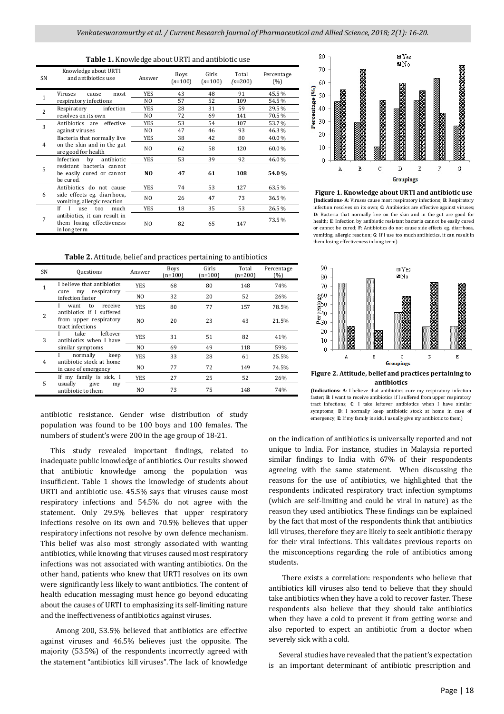| SN             | Knowledge about URTI<br>and antibiotics use                                            | Answer         | <b>Boys</b><br>$(n=100)$ | Girls<br>$(n=100)$ | Total<br>$(n=200)$ | Percentage<br>(%) |
|----------------|----------------------------------------------------------------------------------------|----------------|--------------------------|--------------------|--------------------|-------------------|
| 1              | Viruses<br>most<br>cause                                                               | <b>YES</b>     | 43                       | 48                 | 91                 | 45.5%             |
|                | respiratory infections                                                                 | NO.            | 57                       | 52                 | 109                | 54.5%             |
| $\overline{c}$ | Respiratory<br>infection                                                               | <b>YES</b>     | 28                       | 31                 | 59                 | 29.5%             |
|                | resolves on its own                                                                    | NO.            | 72                       | 69                 | 141                | 70.5%             |
| 3              | Antibiotics are effective                                                              | <b>YES</b>     | 53                       | 54                 | 107                | 53.7%             |
|                | against viruses                                                                        | NO.            | 47                       | 46                 | 93                 | 46.3%             |
| 4              | Bacteria that normally live                                                            | <b>YES</b>     | 38                       | 42                 | 80                 | 40.0%             |
|                | on the skin and in the gut<br>are good for health                                      | N <sub>O</sub> | 62                       | 58                 | 120                | 60.0%             |
| 5              | by<br>antibiotic<br>Infection                                                          | YES            | 53                       | 39                 | 92                 | 46.0%             |
|                | resistant bacteria cannot<br>be easily cured or cannot<br>be cured.                    | N <sub>O</sub> | 47                       | 61                 | 108                | 54.0%             |
| 6              | Antibiotics do not cause<br>side effects eg. diarrhoea,<br>vomiting, allergic reaction | YES            | 74                       | 53                 | 127                | 63.5%             |
|                |                                                                                        | NO             | 26                       | 47                 | 73                 | 36.5%             |
| 7              | If<br>$\mathbf{I}$<br>much<br>too<br>use                                               | <b>YES</b>     | 18                       | 35                 | 53                 | 26.5%             |
|                | antibiotics, it can result in<br>them losing effectiveness<br>in long term             | N <sub>O</sub> | 82                       | 65                 | 147                | 73.5%             |

**Table 2.** Attitude, belief and practices pertaining to antibiotics

| SN             | Questions                                                                   | Answer         | <b>Boys</b><br>$n = 100$ | Girls<br>$(n=100)$ | Total<br>$(n=200)$ | Percentage<br>(%) |
|----------------|-----------------------------------------------------------------------------|----------------|--------------------------|--------------------|--------------------|-------------------|
| $\mathbf{1}$   | I believe that antibiotics<br>respiratory<br>cure<br>my<br>infection faster | <b>YES</b>     | 68                       | 80                 | 148                | 74%               |
|                |                                                                             | NO.            | 32                       | 20                 | 52                 | 26%               |
| $\overline{2}$ | to<br>receive<br>want                                                       | <b>YES</b>     | 80                       | 77                 | 157                | 78.5%             |
|                | antibiotics if I suffered<br>from upper respiratory<br>tract infections     | N <sub>0</sub> | 20                       | 23                 | 43                 | 21.5%             |
| 3              | leftover<br>take<br>antibiotics when I have<br>similar symptoms             | <b>YES</b>     | 31                       | 51                 | 82                 | 41%               |
|                |                                                                             | NO.            | 69                       | 49                 | 118                | 59%               |
| $\overline{4}$ | normally<br>keep<br>antibiotic stock at home<br>in case of emergency        | <b>YES</b>     | 33                       | 28                 | 61                 | 25.5%             |
|                |                                                                             | NO.            | 77                       | 72                 | 149                | 74.5%             |
| 5              | If my family is sick, I<br>usually<br>give<br>my<br>antibiotic to them      | <b>YES</b>     | 27                       | 25                 | 52                 | 26%               |
|                |                                                                             | NO.            | 73                       | 75                 | 148                | 74%               |

antibiotic resistance. Gender wise distribution of study population was found to be 100 boys and 100 females. The numbers of student's were 200 in the age group of 18-21.

 This study revealed important findings, related to inadequate public knowledge of antibiotics. Our results showed that antibiotic knowledge among the population was insufficient. Table 1 shows the knowledge of students about URTI and antibiotic use. 45.5% says that viruses cause most respiratory infections and 54.5% do not agree with the statement. Only 29.5% believes that upper respiratory infections resolve on its own and 70.5% believes that upper respiratory infections not resolve by own defence mechanism. This belief was also most strongly associated with wanting antibiotics, while knowing that viruses caused most respiratory infections was not associated with wanting antibiotics. On the other hand, patients who knew that URTI resolves on its own were significantly less likely to want antibiotics. The content of health education messaging must hence go beyond educating about the causes of URTI to emphasizing its self-limiting nature and the ineffectiveness of antibiotics against viruses.

 Among 200, 53.5% believed that antibiotics are effective against viruses and 46.5% believes just the opposite. The majority (53.5%) of the respondents incorrectly agreed with the statement "antibiotics kill viruses". The lack of knowledge



**Figure 1. Knowledge about URTI and antibiotic use (Indications- A**: Viruses cause most respiratory infections; **B**: Respiratory infection resolves on its own; **C**: Antibiotics are effective against viruses; **D**: Bacteria that normally live on the skin and in the gut are good for health; **E**: Infection by antibiotic resistant bacteria cannot be easily cured or cannot be cured; **F**: Antibiotics do not cause side effects eg. diarrhoea, vomiting, allergic reaction; **G**: If i use too much antibiotics, it can result in them losing effectiveness in long term)



**(Indications: A**: I believe that antibiotics cure my respiratory infection faster; **B**: I want to receive antibiotics if I suffered from upper respiratory tract infections; **C**: I take leftover antibiotics when I have similar

symptoms; **D**: I normally keep antibiotic stock at home in case of emergency; **E**: If my family is sick, I usually give my antibiotic to them)

on the indication of antibiotics is universally reported and not unique to India. For instance, studies in Malaysia reported similar findings to India with 67% of their respondents agreeing with the same statement. When discussing the reasons for the use of antibiotics, we highlighted that the respondents indicated respiratory tract infection symptoms (which are self-limiting and could be viral in nature) as the reason they used antibiotics. These findings can be explained by the fact that most of the respondents think that antibiotics kill viruses, therefore they are likely to seek antibiotic therapy for their viral infections. This validates previous reports on the misconceptions regarding the role of antibiotics among students.

 There exists a correlation: respondents who believe that antibiotics kill viruses also tend to believe that they should take antibiotics when they have a cold to recover faster. These respondents also believe that they should take antibiotics when they have a cold to prevent it from getting worse and also reported to expect an antibiotic from a doctor when severely sick with a cold.

 Several studies have revealed that the patient's expectation is an important determinant of antibiotic prescription and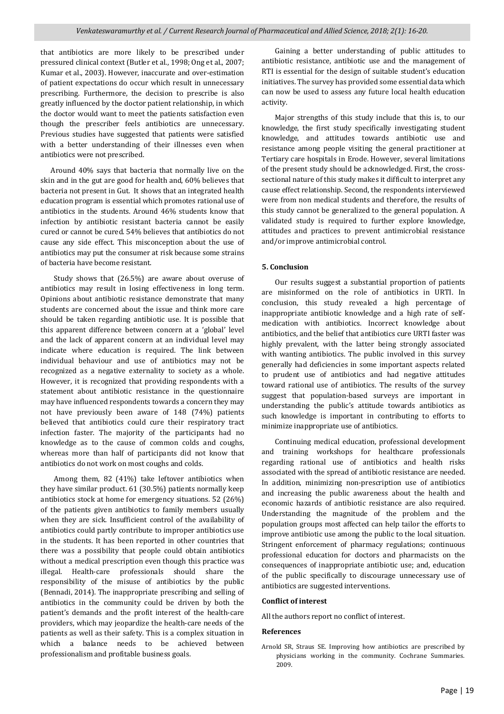that antibiotics are more likely to be prescribed under pressured clinical context (Butler et al., 1998; Ong et al., 2007; Kumar et al., 2003). However, inaccurate and over-estimation of patient expectations do occur which result in unnecessary prescribing. Furthermore, the decision to prescribe is also greatly influenced by the doctor patient relationship, in which the doctor would want to meet the patients satisfaction even though the prescriber feels antibiotics are unnecessary. Previous studies have suggested that patients were satisfied with a better understanding of their illnesses even when antibiotics were not prescribed.

 Around 40% says that bacteria that normally live on the skin and in the gut are good for health and, 60% believes that bacteria not present in Gut. It shows that an integrated health education program is essential which promotes rational use of antibiotics in the students. Around 46% students know that infection by antibiotic resistant bacteria cannot be easily cured or cannot be cured. 54% believes that antibiotics do not cause any side effect. This misconception about the use of antibiotics may put the consumer at risk because some strains of bacteria have become resistant.

 Study shows that (26.5%) are aware about overuse of antibiotics may result in losing effectiveness in long term. Opinions about antibiotic resistance demonstrate that many students are concerned about the issue and think more care should be taken regarding antibiotic use. It is possible that this apparent difference between concern at a 'global' level and the lack of apparent concern at an individual level may indicate where education is required. The link between individual behaviour and use of antibiotics may not be recognized as a negative externality to society as a whole. However, it is recognized that providing respondents with a statement about antibiotic resistance in the questionnaire may have influenced respondents towards a concern they may not have previously been aware of 148 (74%) patients believed that antibiotics could cure their respiratory tract infection faster. The majority of the participants had no knowledge as to the cause of common colds and coughs, whereas more than half of participants did not know that antibiotics do not work on most coughs and colds.

 Among them, 82 (41%) take leftover antibiotics when they have similar product. 61 (30.5%) patients normally keep antibiotics stock at home for emergency situations. 52 (26%) of the patients given antibiotics to family members usually when they are sick. Insufficient control of the availability of antibiotics could partly contribute to improper antibiotics use in the students. It has been reported in other countries that there was a possibility that people could obtain antibiotics without a medical prescription even though this practice was illegal. Health-care professionals should share the responsibility of the misuse of antibiotics by the public (Bennadi, 2014). The inappropriate prescribing and selling of antibiotics in the community could be driven by both the patient's demands and the profit interest of the health-care providers, which may jeopardize the health-care needs of the patients as well as their safety. This is a complex situation in which a balance needs to be achieved between professionalism and profitable business goals.

 Gaining a better understanding of public attitudes to antibiotic resistance, antibiotic use and the management of RTI is essential for the design of suitable student's education initiatives. The survey has provided some essential data which can now be used to assess any future local health education activity.

 Major strengths of this study include that this is, to our knowledge, the first study specifically investigating student knowledge, and attitudes towards antibiotic use and resistance among people visiting the general practitioner at Tertiary care hospitals in Erode. However, several limitations of the present study should be acknowledged. First, the crosssectional nature of this study makes it difficult to interpret any cause effect relationship. Second, the respondents interviewed were from non medical students and therefore, the results of this study cannot be generalized to the general population. A validated study is required to further explore knowledge, attitudes and practices to prevent antimicrobial resistance and/or improve antimicrobial control.

#### **5. Conclusion**

 Our results suggest a substantial proportion of patients are misinformed on the role of antibiotics in URTI. In conclusion, this study revealed a high percentage of inappropriate antibiotic knowledge and a high rate of selfmedication with antibiotics. Incorrect knowledge about antibiotics, and the belief that antibiotics cure URTI faster was highly prevalent, with the latter being strongly associated with wanting antibiotics. The public involved in this survey generally had deficiencies in some important aspects related to prudent use of antibiotics and had negative attitudes toward rational use of antibiotics. The results of the survey suggest that population-based surveys are important in understanding the public's attitude towards antibiotics as such knowledge is important in contributing to efforts to minimize inappropriate use of antibiotics.

 Continuing medical education, professional development and training workshops for healthcare professionals regarding rational use of antibiotics and health risks associated with the spread of antibiotic resistance are needed. In addition, minimizing non-prescription use of antibiotics and increasing the public awareness about the health and economic hazards of antibiotic resistance are also required. Understanding the magnitude of the problem and the population groups most affected can help tailor the efforts to improve antibiotic use among the public to the local situation. Stringent enforcement of pharmacy regulations; continuous professional education for doctors and pharmacists on the consequences of inappropriate antibiotic use; and, education of the public specifically to discourage unnecessary use of antibiotics are suggested interventions.

#### **Conflict of interest**

All the authors report no conflict of interest.

#### **References**

Arnold SR, Straus SE. Improving how antibiotics are prescribed by physicians working in the community. Cochrane Summaries. 2009.